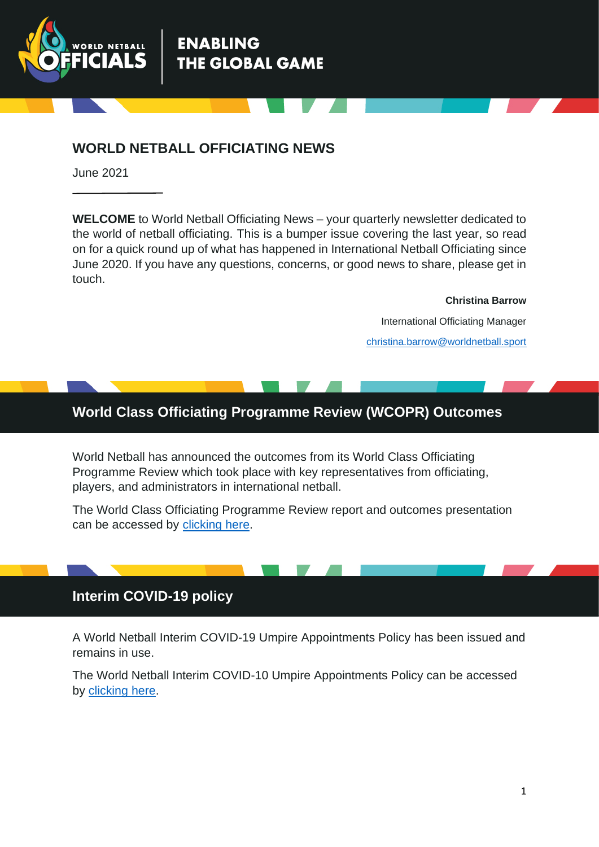

### **WORLD NETBALL OFFICIATING NEWS**

**ENABLING** 

**THE GLOBAL GAME** 

June 2021

**WELCOME** to World Netball Officiating News – your quarterly newsletter dedicated to the world of netball officiating. This is a bumper issue covering the last year, so read on for a quick round up of what has happened in International Netball Officiating since June 2020. If you have any questions, concerns, or good news to share, please get in touch.

**Christina Barrow**

International Officiating Manager [christina.barrow@worldnetball.sport](mailto:christina.barrow@worldnetball.sport)

#### **World Class Officiating Programme Review (WCOPR) Outcomes**

World Netball has announced the outcomes from its World Class Officiating Programme Review which took place with key representatives from officiating, players, and administrators in international netball.

The World Class Officiating Programme Review report and outcomes presentation can be accessed by [clicking](https://netball.sport/world-class-officiating-programme-review-2) here.

#### **Interim COVID-19 policy**

A World Netball Interim COVID-19 Umpire Appointments Policy has been issued and remains in use.

The World Netball Interim COVID-10 Umpire Appointments Policy can be accessed by [clicking here.](https://netball.sport/game/officiating/international-umpiring-handbook)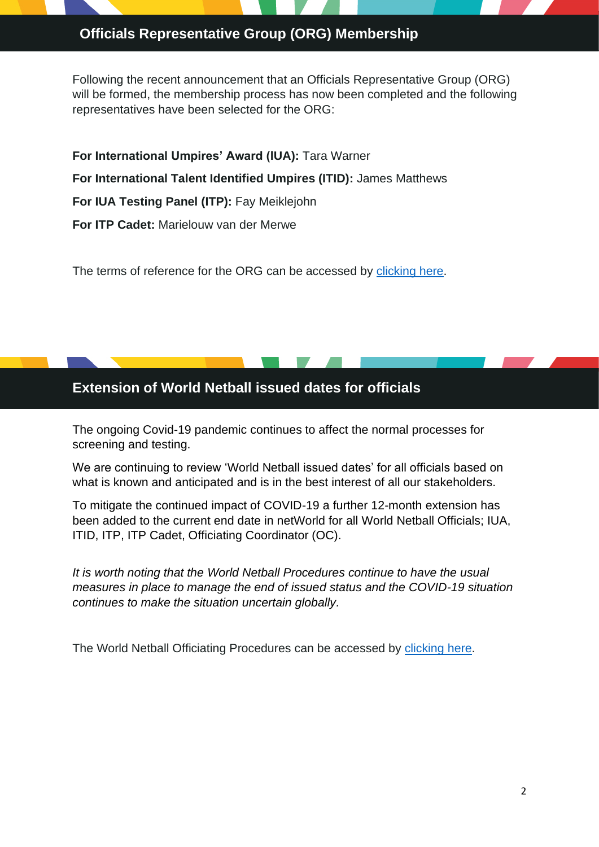# Officials Representative Group (ORG) Membership

Following the recent announcement that an Officials Representative Group (ORG) will be formed, the membership process has now been completed and the following representatives have been selected for the ORG:

**For International Umpires' Award (IUA):** Tara Warner **For International Talent Identified Umpires (ITID):** James Matthews **For IUA Testing Panel (ITP):** Fay Meiklejohn **For ITP Cadet:** Marielouw van der Merwe

The terms of reference for the ORG can be accessed by [clicking here.](https://netball.sport/game/officiating/international-umpiring-handbook)

#### **Extension of World Netball issued dates for officials**

The ongoing Covid-19 pandemic continues to affect the normal processes for screening and testing.

We are continuing to review 'World Netball issued dates' for all officials based on what is known and anticipated and is in the best interest of all our stakeholders.

To mitigate the continued impact of COVID-19 a further 12-month extension has been added to the current end date in netWorld for all World Netball Officials; IUA, ITID, ITP, ITP Cadet, Officiating Coordinator (OC).

*It is worth noting that the World Netball Procedures continue to have the usual measures in place to manage the end of issued status and the COVID-19 situation continues to make the situation uncertain globally.*

The World Netball Officiating Procedures can be accessed by [clicking here.](https://netball.sport/game/officiating/international-umpiring-handbook)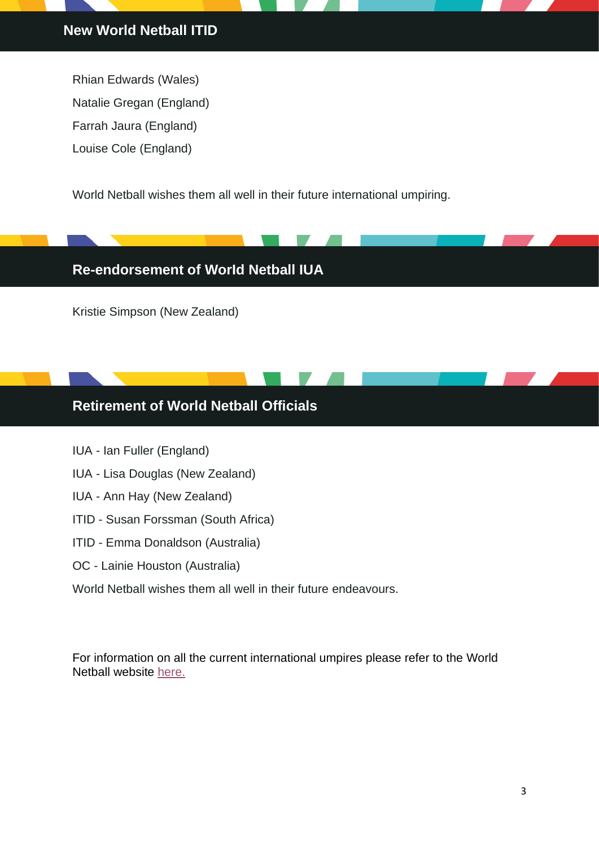Rhian Edwards (Wales) Natalie Gregan (England) Farrah Jaura (England) Louise Cole (England)

World Netball wishes them all well in their future international umpiring.

# **Re-endorsement of WorId Netball IUA**

Kristie Simpson (New Zealand)

# **Retirement of World Netball Officials**

- IUA Ian Fuller (England)
- IUA Lisa Douglas (New Zealand)
- IUA Ann Hay (New Zealand)
- ITID Susan Forssman (South Africa)
- ITID Emma Donaldson (Australia)
- OC Lainie Houston (Australia)
- World Netball wishes them all well in their future endeavours.

For information on all the current international umpires please refer to the World Netball website [here.](https://netball.sport/game/officiating/international-umpire-appointments)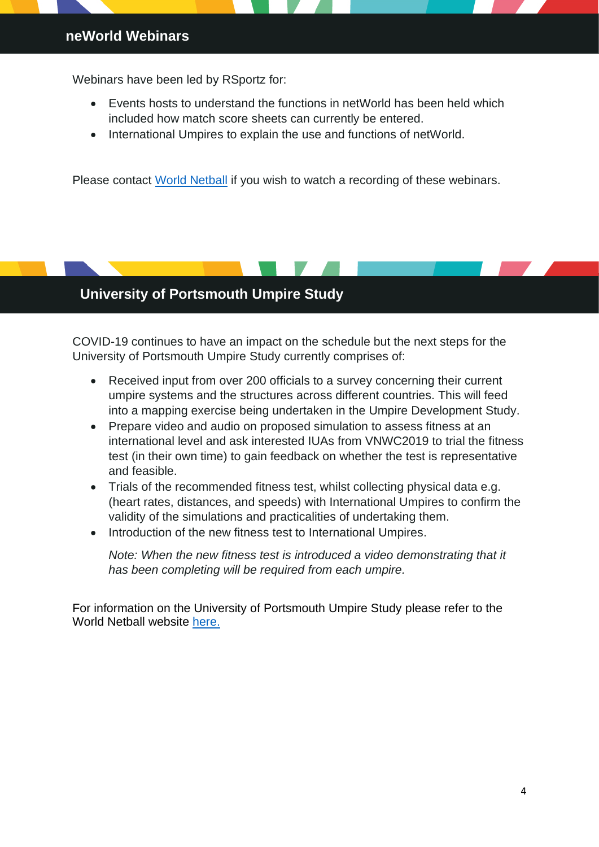#### **neWorld Webinars**

Webinars have been led by RSportz for:

- Events hosts to understand the functions in netWorld has been held which included how match score sheets can currently be entered.
- International Umpires to explain the use and functions of netWorld.

Please contact [World Netball](mailto:info@worldnetball.sport) if you wish to watch a recording of these webinars.

#### **University of Portsmouth Umpire Study**

COVID-19 continues to have an impact on the schedule but the next steps for the University of Portsmouth Umpire Study currently comprises of:

- Received input from over 200 officials to a survey concerning their current umpire systems and the structures across different countries. This will feed into a mapping exercise being undertaken in the Umpire Development Study.
- Prepare video and audio on proposed simulation to assess fitness at an international level and ask interested IUAs from VNWC2019 to trial the fitness test (in their own time) to gain feedback on whether the test is representative and feasible.
- Trials of the recommended fitness test, whilst collecting physical data e.g. (heart rates, distances, and speeds) with International Umpires to confirm the validity of the simulations and practicalities of undertaking them.
- Introduction of the new fitness test to International Umpires.

*Note: When the new fitness test is introduced a video demonstrating that it has been completing will be required from each umpire.*

For information on the University of Portsmouth Umpire Study please refer to the World Netball website [here.](https://netball.sport/archives/16557)